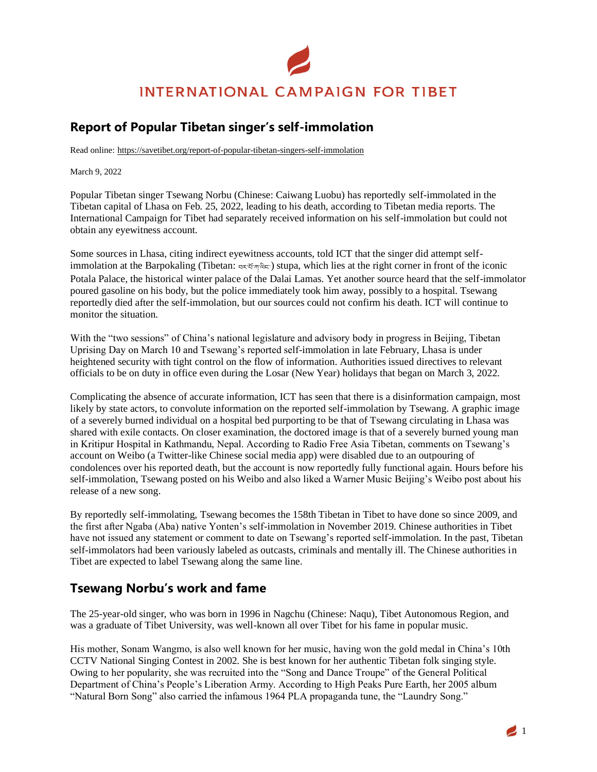# **INTERNATIONAL CAMPAIGN FOR TIBET**

## **Report of Popular Tibetan singer's self-immolation**

Read online: https://savetibet.org/report-of-popular-tibetan-singers-self-immolation

March 9, 2022

Popular Tibetan singer Tsewang Norbu (Chinese: Caiwang Luobu) has reportedly self-immolated in the Tibetan capital of Lhasa on Feb. 25, 2022, leading to his death, according to Tibetan media reports. The International Campaign for Tibet had separately received information on his self-immolation but could not obtain any eyewitness account.

Some sources in Lhasa, citing indirect eyewitness accounts, told ICT that the singer did attempt selfimmolation at the Barpokaling (Tibetan: བར་པོ་ཀ་ལིང་) stupa, which lies at the right corner in front of the iconic Potala Palace, the historical winter palace of the Dalai Lamas. Yet another source heard that the self-immolator poured gasoline on his body, but the police immediately took him away, possibly to a hospital. Tsewang reportedly died after the self-immolation, but our sources could not confirm his death. ICT will continue to monitor the situation.

With the "two sessions" of China's national legislature and advisory body in progress in Beijing, Tibetan Uprising Day on March 10 and Tsewang's reported self-immolation in late February, Lhasa is under heightened security with tight control on the flow of information. Authorities issued directives to relevant officials to be on duty in office even during the Losar (New Year) holidays that began on March 3, 2022.

Complicating the absence of accurate information, ICT has seen that there is a disinformation campaign, most likely by state actors, to convolute information on the reported self-immolation by Tsewang. A graphic image of a severely burned individual on a hospital bed purporting to be that of Tsewang circulating in Lhasa was shared with exile contacts. On closer examination, the doctored image is that of a severely burned young man in Kritipur Hospital in Kathmandu, Nepal. According to Radio Free Asia Tibetan, comments on Tsewang's account on Weibo (a Twitter-like Chinese social media app) were disabled due to an outpouring of condolences over his reported death, but the account is now reportedly fully functional again. Hours before his self-immolation, Tsewang posted on his Weibo and also liked a Warner Music Beijing's Weibo post about his release of a new song.

By reportedly self-immolating, Tsewang becomes the 158th Tibetan in Tibet to have done so since 2009, and the first after Ngaba (Aba) native Yonten's self-immolation in November 2019. Chinese authorities in Tibet have not issued any statement or comment to date on Tsewang's reported self-immolation. In the past, Tibetan self-immolators had been variously labeled as outcasts, criminals and mentally ill. The Chinese authorities in Tibet are expected to label Tsewang along the same line.

#### **Tsewang Norbu's work and fame**

The 25-year-old singer, who was born in 1996 in Nagchu (Chinese: Naqu), Tibet Autonomous Region, and was a graduate of Tibet University, was well-known all over Tibet for his fame in popular music.

His mother, Sonam Wangmo, is also well known for her music, having won the gold medal in China's 10th CCTV National Singing Contest in 2002. She is best known for her authentic Tibetan folk singing style. Owing to her popularity, she was recruited into the "Song and Dance Troupe" of the General Political Department of China's People's Liberation Army. According to High Peaks Pure Earth, her 2005 album "Natural Born Song" also carried the infamous 1964 PLA propaganda tune, the "Laundry Song."

 $\blacksquare$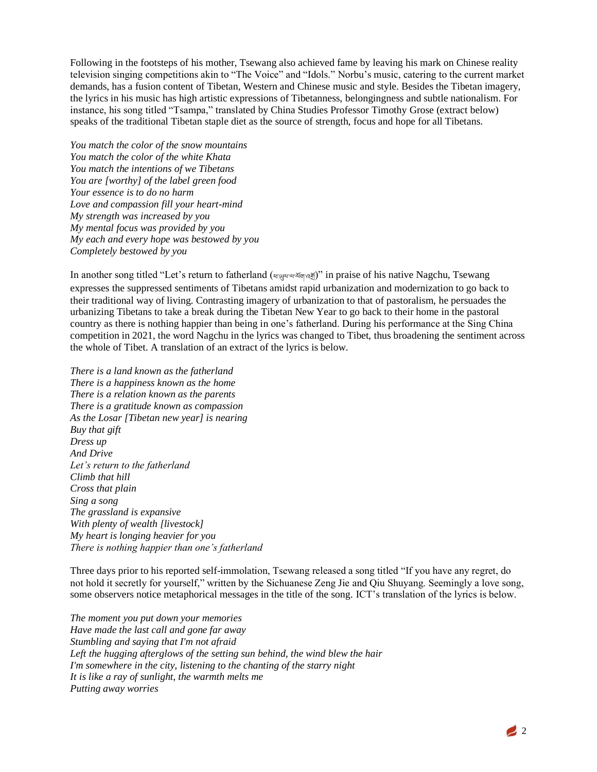Following in the footsteps of his mother, Tsewang also achieved fame by leaving his mark on Chinese reality television singing competitions akin to "The Voice" and "Idols." Norbu's music, catering to the current market demands, has a fusion content of Tibetan, Western and Chinese music and style. Besides the Tibetan imagery, the lyrics in his music has high artistic expressions of Tibetanness, belongingness and subtle nationalism. For instance, his song titled "Tsampa," translated by China Studies Professor Timothy Grose (extract below) speaks of the traditional Tibetan staple diet as the source of strength, focus and hope for all Tibetans.

*You match the color of the snow mountains You match the color of the white Khata You match the intentions of we Tibetans You are [worthy] of the label green food Your essence is to do no harm Love and compassion fill your heart-mind My strength was increased by you My mental focus was provided by you My each and every hope was bestowed by you Completely bestowed by you*

In another song titled "Let's return to fatherland (ཕ་ཡུལ་ལ་ལོག་འགོ)" in praise of his native Nagchu, Tsewang expresses the suppressed sentiments of Tibetans amidst rapid urbanization and modernization to go back to their traditional way of living. Contrasting imagery of urbanization to that of pastoralism, he persuades the urbanizing Tibetans to take a break during the Tibetan New Year to go back to their home in the pastoral country as there is nothing happier than being in one's fatherland. During his performance at the Sing China competition in 2021, the word Nagchu in the lyrics was changed to Tibet, thus broadening the sentiment across the whole of Tibet. A translation of an extract of the lyrics is below.

*There is a land known as the fatherland There is a happiness known as the home There is a relation known as the parents There is a gratitude known as compassion As the Losar [Tibetan new year] is nearing Buy that gift Dress up And Drive Let's return to the fatherland Climb that hill Cross that plain Sing a song The grassland is expansive With plenty of wealth [livestock] My heart is longing heavier for you There is nothing happier than one's fatherland*

Three days prior to his reported self-immolation, Tsewang released a song titled "If you have any regret, do not hold it secretly for yourself," written by the Sichuanese Zeng Jie and Qiu Shuyang. Seemingly a love song, some observers notice metaphorical messages in the title of the song. ICT's translation of the lyrics is below.

*The moment you put down your memories Have made the last call and gone far away Stumbling and saying that I'm not afraid Left the hugging afterglows of the setting sun behind, the wind blew the hair I'm somewhere in the city, listening to the chanting of the starry night It is like a ray of sunlight, the warmth melts me Putting away worries*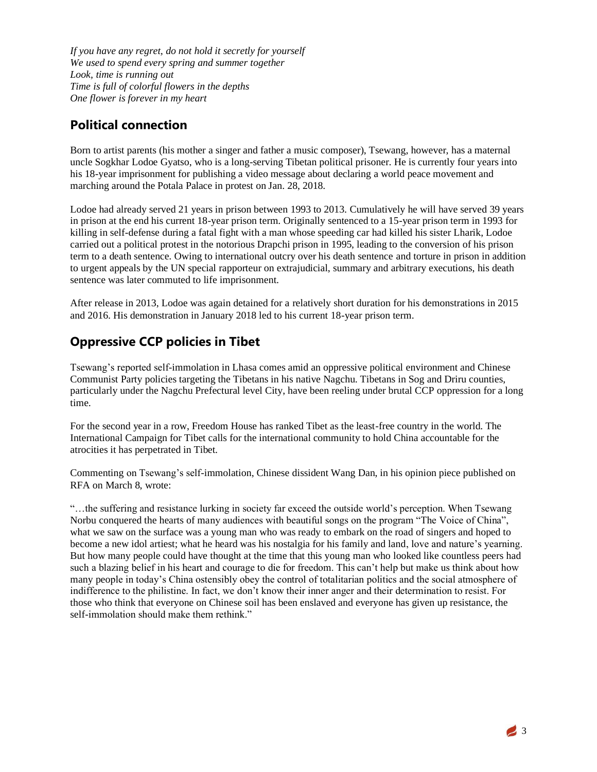*If you have any regret, do not hold it secretly for yourself We used to spend every spring and summer together Look, time is running out Time is full of colorful flowers in the depths One flower is forever in my heart*

### **Political connection**

Born to artist parents (his mother a singer and father a music composer), Tsewang, however, has a maternal uncle Sogkhar Lodoe Gyatso, who is a long-serving Tibetan political prisoner. He is currently four years into his 18-year imprisonment for publishing a video message about declaring a world peace movement and marching around the Potala Palace in protest on Jan. 28, 2018.

Lodoe had already served 21 years in prison between 1993 to 2013. Cumulatively he will have served 39 years in prison at the end his current 18-year prison term. Originally sentenced to a 15-year prison term in 1993 for killing in self-defense during a fatal fight with a man whose speeding car had killed his sister Lharik, Lodoe carried out a political protest in the notorious Drapchi prison in 1995, leading to the conversion of his prison term to a death sentence. Owing to international outcry over his death sentence and torture in prison in addition to urgent appeals by the UN special rapporteur on extrajudicial, summary and arbitrary executions, his death sentence was later commuted to life imprisonment.

After release in 2013, Lodoe was again detained for a relatively short duration for his demonstrations in 2015 and 2016. His demonstration in January 2018 led to his current 18-year prison term.

## **Oppressive CCP policies in Tibet**

Tsewang's reported self-immolation in Lhasa comes amid an oppressive political environment and Chinese Communist Party policies targeting the Tibetans in his native Nagchu. Tibetans in Sog and Driru counties, particularly under the Nagchu Prefectural level City, have been reeling under brutal CCP oppression for a long time.

For the second year in a row, Freedom House has ranked Tibet as the least-free country in the world. The International Campaign for Tibet calls for the international community to hold China accountable for the atrocities it has perpetrated in Tibet.

Commenting on Tsewang's self-immolation, Chinese dissident Wang Dan, in his opinion piece published on RFA on March 8, wrote:

"…the suffering and resistance lurking in society far exceed the outside world's perception. When Tsewang Norbu conquered the hearts of many audiences with beautiful songs on the program "The Voice of China", what we saw on the surface was a young man who was ready to embark on the road of singers and hoped to become a new idol artiest; what he heard was his nostalgia for his family and land, love and nature's yearning. But how many people could have thought at the time that this young man who looked like countless peers had such a blazing belief in his heart and courage to die for freedom. This can't help but make us think about how many people in today's China ostensibly obey the control of totalitarian politics and the social atmosphere of indifference to the philistine. In fact, we don't know their inner anger and their determination to resist. For those who think that everyone on Chinese soil has been enslaved and everyone has given up resistance, the self-immolation should make them rethink."